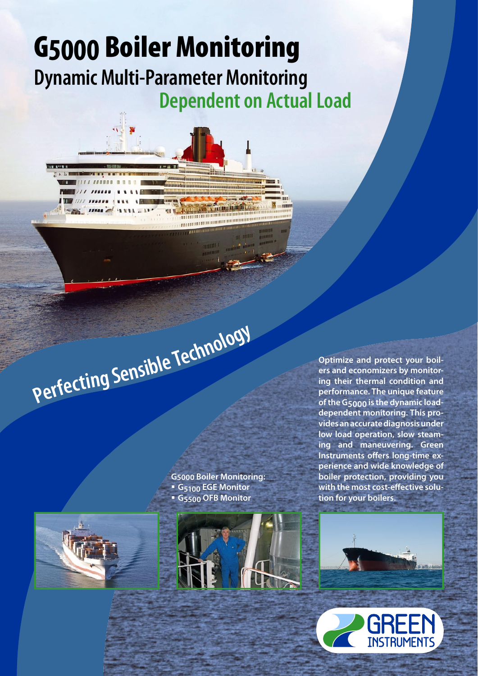# G**5000** Boiler Monitoring **Dynamic Multi-Parameter Monitoring Dependent on Actual Load**

,,,,,,,,,,,,,,,,, **THERMAND REPORT OF THE PROPERTY OF THE PROPERTY OF THE PROPERTY OF THE PROPERTY OF THE PROPERTY OF THE PROPERTY OF** 

Perfecting Sensible Technology

**G5000 Boiler Monitoring: G 5100 EGE Monitor G 5500 OFB Monitor**





**Optimize and protect your boilers and economizers by monitoring their thermal condition and performance. The unique feature of the G5000 is the dynamic loaddependent monitoring. This provides an accurate diagnosis under low load operation, slow steaming and maneuvering. Green**  Instruments offers long-time ex**perience and wide knowledge of boiler protection, providing you**  with the most cost-effective solu**tion for your boilers.** 



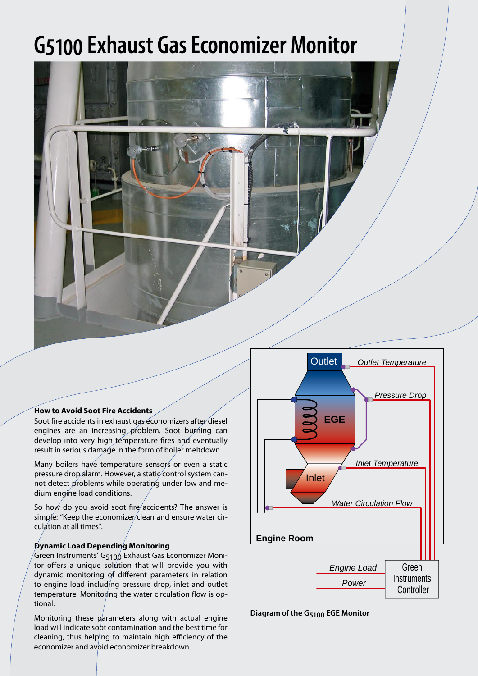# **G5100 Exhaust Gas Economizer Monitor**



#### **How to Avoid Soot Fire Accidents**

Soot fire accidents in exhaust gas economizers after diesel engines are an increasing problem. Soot burning can develop into very high temperature fires and eventually result in serious damage in the form of boiler meltdown.

Many boilers have temperature sensors or even a static pressure drop alarm. However, a static control system cannot detect problems while operating under low and medium engine load conditions.

So how do you avoid soot fire accidents? The answer is simple: "Keep the economizer/clean and ensure water circulation at all times".

#### **Dynamic Load Depending Monitoring**

Green Instruments' G5100 Exhaust Gas Economizer Monitor offers a unique solution that will provide you with dynamic monitoring of different parameters in relation to engine load including pressure drop, inlet and outlet temperature. Monitoring the water circulation flow is optional.

Monitoring these parameters along with actual engine load will indicate soot contamination and the best time for cleaning, thus helping to maintain high efficiency of the economizer and avoid economizer breakdown.



**Diagram of the G5100 EGE Monitor**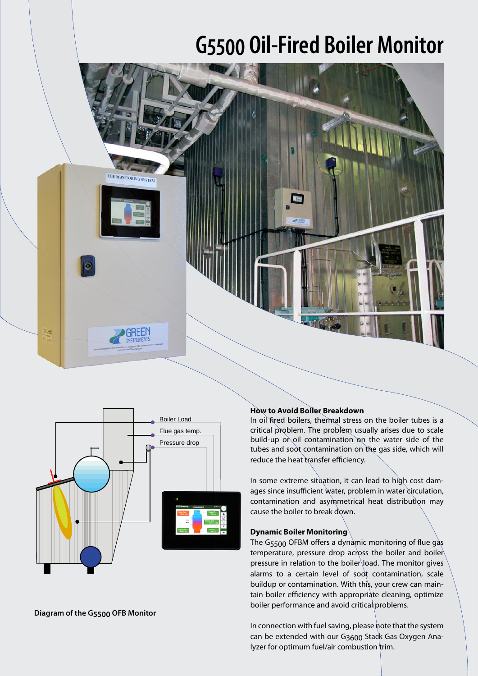# **G5500 Oil-Fired Boiler Monitor**





#### **Diagram of the G5500 OFB Monitor**

### **How to Avoid Boiler Breakdown**

In oil fired boilers, thermal stress on the boiler tubes is a critical problem. The problem usually arises due to scale build-up or oil contamination on the water side of the tubes and soot contamination on the gas side, which will reduce the heat transfer efficiency.

In some extreme situation, it can lead to high cost damages since insufficient water, problem in water circulation, contamination and asymmetrical heat distribution may cause the boiler to break down.

#### **Dynamic Boiler Monitoring**

The  $G_{5500}$  OFBM offers a dynamic monitoring of flue gas temperature, pressure drop across the boiler and boiler pressure in relation to the boiler load. The monitor gives alarms to a certain level of soot contamination, scale buildup or contamination. With this, your crew can maintain boiler efficiency with appropriate cleaning, optimize boiler performance and avoid critical problems.

In connection with fuel saving, please note that the system can be extended with our G<sub>3600</sub> Stack Gas Oxygen Analyzer for optimum fuel/air combustion trim.